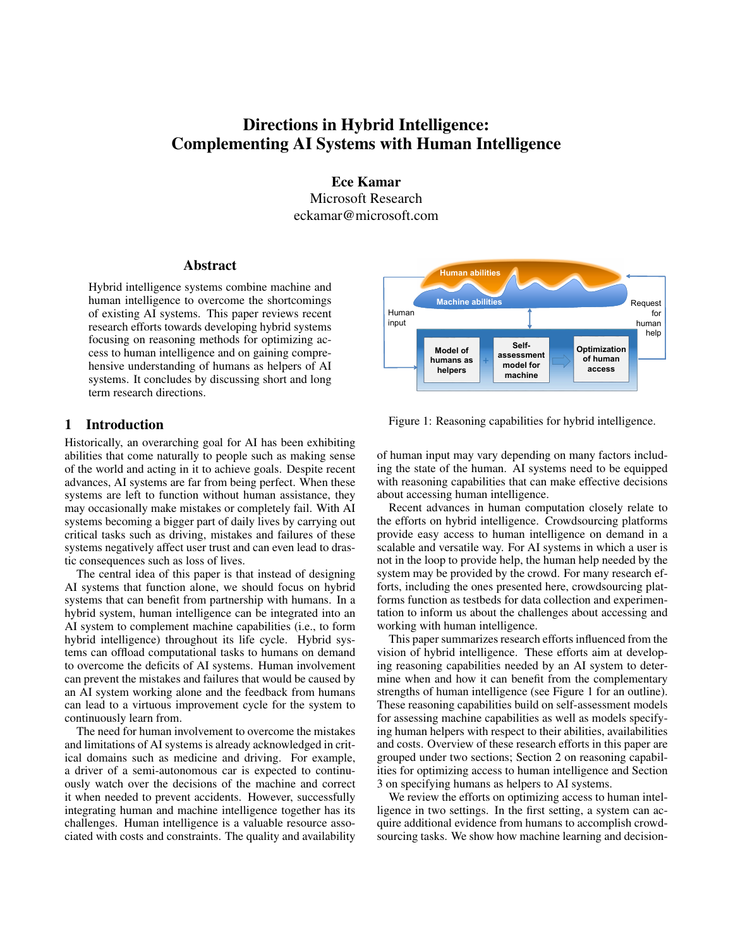# Directions in Hybrid Intelligence: Complementing AI Systems with Human Intelligence

Ece Kamar Microsoft Research eckamar@microsoft.com

#### Abstract

Hybrid intelligence systems combine machine and human intelligence to overcome the shortcomings of existing AI systems. This paper reviews recent research efforts towards developing hybrid systems focusing on reasoning methods for optimizing access to human intelligence and on gaining comprehensive understanding of humans as helpers of AI systems. It concludes by discussing short and long term research directions.

## 1 Introduction

Historically, an overarching goal for AI has been exhibiting abilities that come naturally to people such as making sense of the world and acting in it to achieve goals. Despite recent advances, AI systems are far from being perfect. When these systems are left to function without human assistance, they may occasionally make mistakes or completely fail. With AI systems becoming a bigger part of daily lives by carrying out critical tasks such as driving, mistakes and failures of these systems negatively affect user trust and can even lead to drastic consequences such as loss of lives.

The central idea of this paper is that instead of designing AI systems that function alone, we should focus on hybrid systems that can benefit from partnership with humans. In a hybrid system, human intelligence can be integrated into an AI system to complement machine capabilities (i.e., to form hybrid intelligence) throughout its life cycle. Hybrid systems can offload computational tasks to humans on demand to overcome the deficits of AI systems. Human involvement can prevent the mistakes and failures that would be caused by an AI system working alone and the feedback from humans can lead to a virtuous improvement cycle for the system to continuously learn from.

The need for human involvement to overcome the mistakes and limitations of AI systems is already acknowledged in critical domains such as medicine and driving. For example, a driver of a semi-autonomous car is expected to continuously watch over the decisions of the machine and correct it when needed to prevent accidents. However, successfully integrating human and machine intelligence together has its challenges. Human intelligence is a valuable resource associated with costs and constraints. The quality and availability



Figure 1: Reasoning capabilities for hybrid intelligence.

of human input may vary depending on many factors including the state of the human. AI systems need to be equipped with reasoning capabilities that can make effective decisions about accessing human intelligence.

Recent advances in human computation closely relate to the efforts on hybrid intelligence. Crowdsourcing platforms provide easy access to human intelligence on demand in a scalable and versatile way. For AI systems in which a user is not in the loop to provide help, the human help needed by the system may be provided by the crowd. For many research efforts, including the ones presented here, crowdsourcing platforms function as testbeds for data collection and experimentation to inform us about the challenges about accessing and working with human intelligence.

This paper summarizes research efforts influenced from the vision of hybrid intelligence. These efforts aim at developing reasoning capabilities needed by an AI system to determine when and how it can benefit from the complementary strengths of human intelligence (see Figure 1 for an outline). These reasoning capabilities build on self-assessment models for assessing machine capabilities as well as models specifying human helpers with respect to their abilities, availabilities and costs. Overview of these research efforts in this paper are grouped under two sections; Section 2 on reasoning capabilities for optimizing access to human intelligence and Section 3 on specifying humans as helpers to AI systems.

We review the efforts on optimizing access to human intelligence in two settings. In the first setting, a system can acquire additional evidence from humans to accomplish crowdsourcing tasks. We show how machine learning and decision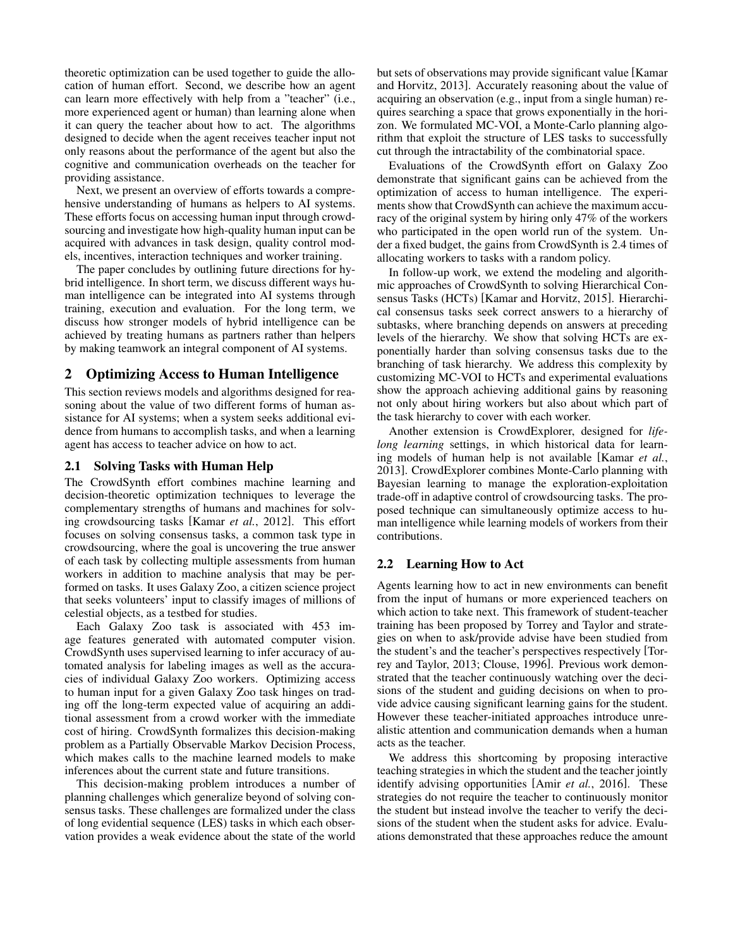theoretic optimization can be used together to guide the allocation of human effort. Second, we describe how an agent can learn more effectively with help from a "teacher" (i.e., more experienced agent or human) than learning alone when it can query the teacher about how to act. The algorithms designed to decide when the agent receives teacher input not only reasons about the performance of the agent but also the cognitive and communication overheads on the teacher for providing assistance.

Next, we present an overview of efforts towards a comprehensive understanding of humans as helpers to AI systems. These efforts focus on accessing human input through crowdsourcing and investigate how high-quality human input can be acquired with advances in task design, quality control models, incentives, interaction techniques and worker training.

The paper concludes by outlining future directions for hybrid intelligence. In short term, we discuss different ways human intelligence can be integrated into AI systems through training, execution and evaluation. For the long term, we discuss how stronger models of hybrid intelligence can be achieved by treating humans as partners rather than helpers by making teamwork an integral component of AI systems.

# 2 Optimizing Access to Human Intelligence

This section reviews models and algorithms designed for reasoning about the value of two different forms of human assistance for AI systems; when a system seeks additional evidence from humans to accomplish tasks, and when a learning agent has access to teacher advice on how to act.

#### 2.1 Solving Tasks with Human Help

The CrowdSynth effort combines machine learning and decision-theoretic optimization techniques to leverage the complementary strengths of humans and machines for solving crowdsourcing tasks [Kamar *et al.*, 2012]. This effort focuses on solving consensus tasks, a common task type in crowdsourcing, where the goal is uncovering the true answer of each task by collecting multiple assessments from human workers in addition to machine analysis that may be performed on tasks. It uses Galaxy Zoo, a citizen science project that seeks volunteers' input to classify images of millions of celestial objects, as a testbed for studies.

Each Galaxy Zoo task is associated with 453 image features generated with automated computer vision. CrowdSynth uses supervised learning to infer accuracy of automated analysis for labeling images as well as the accuracies of individual Galaxy Zoo workers. Optimizing access to human input for a given Galaxy Zoo task hinges on trading off the long-term expected value of acquiring an additional assessment from a crowd worker with the immediate cost of hiring. CrowdSynth formalizes this decision-making problem as a Partially Observable Markov Decision Process, which makes calls to the machine learned models to make inferences about the current state and future transitions.

This decision-making problem introduces a number of planning challenges which generalize beyond of solving consensus tasks. These challenges are formalized under the class of long evidential sequence (LES) tasks in which each observation provides a weak evidence about the state of the world but sets of observations may provide significant value [Kamar and Horvitz, 2013]. Accurately reasoning about the value of acquiring an observation (e.g., input from a single human) requires searching a space that grows exponentially in the horizon. We formulated MC-VOI, a Monte-Carlo planning algorithm that exploit the structure of LES tasks to successfully cut through the intractability of the combinatorial space.

Evaluations of the CrowdSynth effort on Galaxy Zoo demonstrate that significant gains can be achieved from the optimization of access to human intelligence. The experiments show that CrowdSynth can achieve the maximum accuracy of the original system by hiring only 47% of the workers who participated in the open world run of the system. Under a fixed budget, the gains from CrowdSynth is 2.4 times of allocating workers to tasks with a random policy.

In follow-up work, we extend the modeling and algorithmic approaches of CrowdSynth to solving Hierarchical Consensus Tasks (HCTs) [Kamar and Horvitz, 2015]. Hierarchical consensus tasks seek correct answers to a hierarchy of subtasks, where branching depends on answers at preceding levels of the hierarchy. We show that solving HCTs are exponentially harder than solving consensus tasks due to the branching of task hierarchy. We address this complexity by customizing MC-VOI to HCTs and experimental evaluations show the approach achieving additional gains by reasoning not only about hiring workers but also about which part of the task hierarchy to cover with each worker.

Another extension is CrowdExplorer, designed for *lifelong learning* settings, in which historical data for learning models of human help is not available [Kamar *et al.*, 2013]. CrowdExplorer combines Monte-Carlo planning with Bayesian learning to manage the exploration-exploitation trade-off in adaptive control of crowdsourcing tasks. The proposed technique can simultaneously optimize access to human intelligence while learning models of workers from their contributions.

## 2.2 Learning How to Act

Agents learning how to act in new environments can benefit from the input of humans or more experienced teachers on which action to take next. This framework of student-teacher training has been proposed by Torrey and Taylor and strategies on when to ask/provide advise have been studied from the student's and the teacher's perspectives respectively [Torrey and Taylor, 2013; Clouse, 1996]. Previous work demonstrated that the teacher continuously watching over the decisions of the student and guiding decisions on when to provide advice causing significant learning gains for the student. However these teacher-initiated approaches introduce unrealistic attention and communication demands when a human acts as the teacher.

We address this shortcoming by proposing interactive teaching strategies in which the student and the teacher jointly identify advising opportunities [Amir *et al.*, 2016]. These strategies do not require the teacher to continuously monitor the student but instead involve the teacher to verify the decisions of the student when the student asks for advice. Evaluations demonstrated that these approaches reduce the amount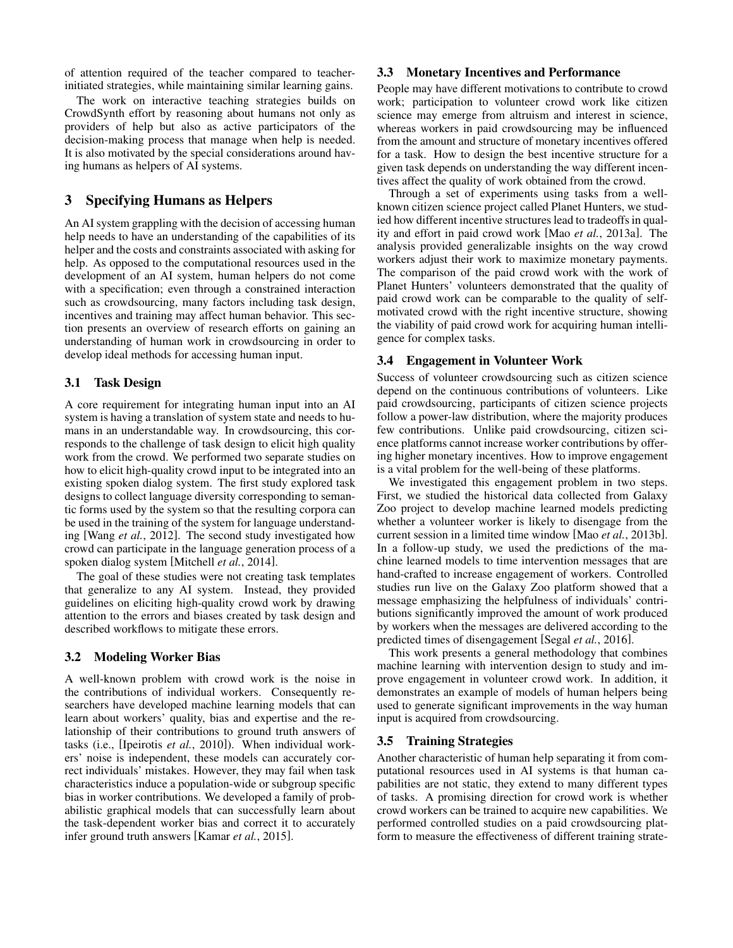of attention required of the teacher compared to teacherinitiated strategies, while maintaining similar learning gains.

The work on interactive teaching strategies builds on CrowdSynth effort by reasoning about humans not only as providers of help but also as active participators of the decision-making process that manage when help is needed. It is also motivated by the special considerations around having humans as helpers of AI systems.

# 3 Specifying Humans as Helpers

An AI system grappling with the decision of accessing human help needs to have an understanding of the capabilities of its helper and the costs and constraints associated with asking for help. As opposed to the computational resources used in the development of an AI system, human helpers do not come with a specification; even through a constrained interaction such as crowdsourcing, many factors including task design, incentives and training may affect human behavior. This section presents an overview of research efforts on gaining an understanding of human work in crowdsourcing in order to develop ideal methods for accessing human input.

## 3.1 Task Design

A core requirement for integrating human input into an AI system is having a translation of system state and needs to humans in an understandable way. In crowdsourcing, this corresponds to the challenge of task design to elicit high quality work from the crowd. We performed two separate studies on how to elicit high-quality crowd input to be integrated into an existing spoken dialog system. The first study explored task designs to collect language diversity corresponding to semantic forms used by the system so that the resulting corpora can be used in the training of the system for language understanding [Wang *et al.*, 2012]. The second study investigated how crowd can participate in the language generation process of a spoken dialog system [Mitchell *et al.*, 2014].

The goal of these studies were not creating task templates that generalize to any AI system. Instead, they provided guidelines on eliciting high-quality crowd work by drawing attention to the errors and biases created by task design and described workflows to mitigate these errors.

## 3.2 Modeling Worker Bias

A well-known problem with crowd work is the noise in the contributions of individual workers. Consequently researchers have developed machine learning models that can learn about workers' quality, bias and expertise and the relationship of their contributions to ground truth answers of tasks (i.e., [Ipeirotis *et al.*, 2010]). When individual workers' noise is independent, these models can accurately correct individuals' mistakes. However, they may fail when task characteristics induce a population-wide or subgroup specific bias in worker contributions. We developed a family of probabilistic graphical models that can successfully learn about the task-dependent worker bias and correct it to accurately infer ground truth answers [Kamar *et al.*, 2015].

#### 3.3 Monetary Incentives and Performance

People may have different motivations to contribute to crowd work; participation to volunteer crowd work like citizen science may emerge from altruism and interest in science, whereas workers in paid crowdsourcing may be influenced from the amount and structure of monetary incentives offered for a task. How to design the best incentive structure for a given task depends on understanding the way different incentives affect the quality of work obtained from the crowd.

Through a set of experiments using tasks from a wellknown citizen science project called Planet Hunters, we studied how different incentive structures lead to tradeoffs in quality and effort in paid crowd work [Mao *et al.*, 2013a]. The analysis provided generalizable insights on the way crowd workers adjust their work to maximize monetary payments. The comparison of the paid crowd work with the work of Planet Hunters' volunteers demonstrated that the quality of paid crowd work can be comparable to the quality of selfmotivated crowd with the right incentive structure, showing the viability of paid crowd work for acquiring human intelligence for complex tasks.

#### 3.4 Engagement in Volunteer Work

Success of volunteer crowdsourcing such as citizen science depend on the continuous contributions of volunteers. Like paid crowdsourcing, participants of citizen science projects follow a power-law distribution, where the majority produces few contributions. Unlike paid crowdsourcing, citizen science platforms cannot increase worker contributions by offering higher monetary incentives. How to improve engagement is a vital problem for the well-being of these platforms.

We investigated this engagement problem in two steps. First, we studied the historical data collected from Galaxy Zoo project to develop machine learned models predicting whether a volunteer worker is likely to disengage from the current session in a limited time window [Mao *et al.*, 2013b]. In a follow-up study, we used the predictions of the machine learned models to time intervention messages that are hand-crafted to increase engagement of workers. Controlled studies run live on the Galaxy Zoo platform showed that a message emphasizing the helpfulness of individuals' contributions significantly improved the amount of work produced by workers when the messages are delivered according to the predicted times of disengagement [Segal *et al.*, 2016].

This work presents a general methodology that combines machine learning with intervention design to study and improve engagement in volunteer crowd work. In addition, it demonstrates an example of models of human helpers being used to generate significant improvements in the way human input is acquired from crowdsourcing.

## 3.5 Training Strategies

Another characteristic of human help separating it from computational resources used in AI systems is that human capabilities are not static, they extend to many different types of tasks. A promising direction for crowd work is whether crowd workers can be trained to acquire new capabilities. We performed controlled studies on a paid crowdsourcing platform to measure the effectiveness of different training strate